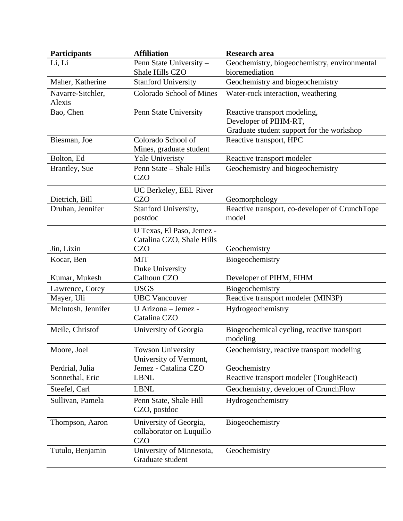| <b>Participants</b>         | <b>Affiliation</b>                                               | <b>Research area</b>                                    |
|-----------------------------|------------------------------------------------------------------|---------------------------------------------------------|
| Li, Li                      | Penn State University -                                          | Geochemistry, biogeochemistry, environmental            |
|                             | Shale Hills CZO                                                  | bioremediation                                          |
| Maher, Katherine            | <b>Stanford University</b>                                       | Geochemistry and biogeochemistry                        |
| Navarre-Sitchler,<br>Alexis | Colorado School of Mines                                         | Water-rock interaction, weathering                      |
| Bao, Chen                   | Penn State University                                            | Reactive transport modeling,                            |
|                             |                                                                  | Developer of PIHM-RT,                                   |
|                             |                                                                  | Graduate student support for the workshop               |
| Biesman, Joe                | Colorado School of                                               | Reactive transport, HPC                                 |
|                             | Mines, graduate student                                          |                                                         |
| Bolton, Ed                  | <b>Yale Univeristy</b><br>Penn State - Shale Hills               | Reactive transport modeler                              |
| <b>Brantley</b> , Sue       | <b>CZO</b>                                                       | Geochemistry and biogeochemistry                        |
|                             | UC Berkeley, EEL River                                           |                                                         |
| Dietrich, Bill              | <b>CZO</b>                                                       | Geomorphology                                           |
| Druhan, Jennifer            | Stanford University,<br>postdoc                                  | Reactive transport, co-developer of CrunchTope<br>model |
|                             | U Texas, El Paso, Jemez -                                        |                                                         |
|                             | Catalina CZO, Shale Hills                                        |                                                         |
| Jin, Lixin                  | <b>CZO</b>                                                       | Geochemistry                                            |
| Kocar, Ben                  | <b>MIT</b>                                                       | Biogeochemistry                                         |
|                             | Duke University                                                  |                                                         |
| Kumar, Mukesh               | Calhoun CZO                                                      | Developer of PIHM, FIHM                                 |
| Lawrence, Corey             | <b>USGS</b>                                                      | Biogeochemistry                                         |
| Mayer, Uli                  | <b>UBC</b> Vancouver                                             | Reactive transport modeler (MIN3P)                      |
| McIntosh, Jennifer          | U Arizona - Jemez -<br>Catalina CZO                              | Hydrogeochemistry                                       |
| Meile, Christof             | University of Georgia                                            | Biogeochemical cycling, reactive transport<br>modeling  |
| Moore, Joel                 | <b>Towson University</b>                                         | Geochemistry, reactive transport modeling               |
|                             | University of Vermont,                                           |                                                         |
| Perdrial, Julia             | Jemez - Catalina CZO                                             | Geochemistry                                            |
| Sonnethal, Eric             | <b>LBNL</b>                                                      | Reactive transport modeler (ToughReact)                 |
| Steefel, Carl               | <b>LBNL</b>                                                      | Geochemistry, developer of CrunchFlow                   |
| Sullivan, Pamela            | Penn State, Shale Hill<br>CZO, postdoc                           | Hydrogeochemistry                                       |
| Thompson, Aaron             | University of Georgia,<br>collaborator on Luquillo<br><b>CZO</b> | Biogeochemistry                                         |
| Tutulo, Benjamin            | University of Minnesota,<br>Graduate student                     | Geochemistry                                            |